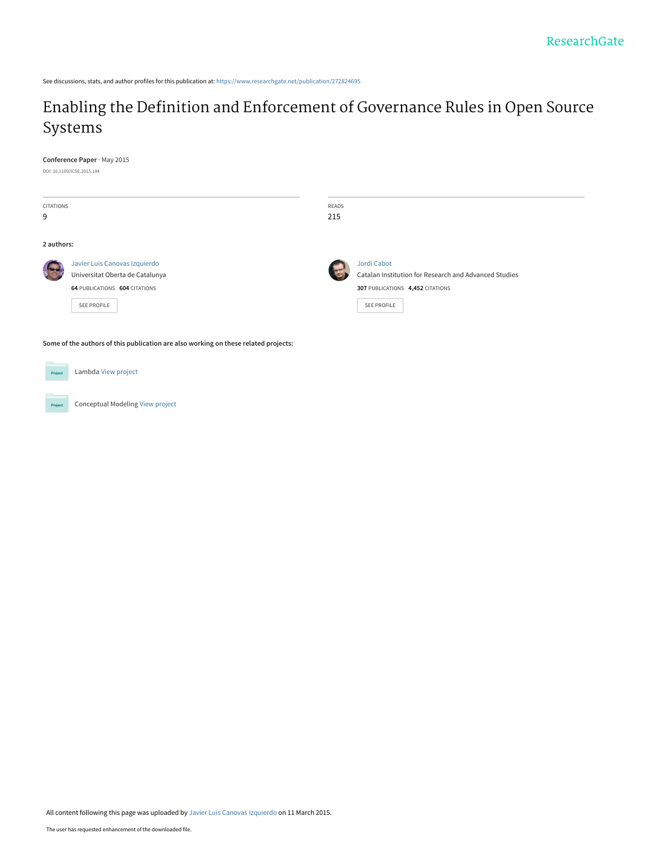See discussions, stats, and author profiles for this publication at: [https://www.researchgate.net/publication/272824695](https://www.researchgate.net/publication/272824695_Enabling_the_Definition_and_Enforcement_of_Governance_Rules_in_Open_Source_Systems?enrichId=rgreq-4ebb42ea676fa615bd6752febcdecd56-XXX&enrichSource=Y292ZXJQYWdlOzI3MjgyNDY5NTtBUzoyMDU3MzMyNzE0NzgyNzRAMTQyNjA2MjA0MjEyMA%3D%3D&el=1_x_2&_esc=publicationCoverPdf)

# [Enabling the Definition and Enforcement of Governance Rules in Open Source](https://www.researchgate.net/publication/272824695_Enabling_the_Definition_and_Enforcement_of_Governance_Rules_in_Open_Source_Systems?enrichId=rgreq-4ebb42ea676fa615bd6752febcdecd56-XXX&enrichSource=Y292ZXJQYWdlOzI3MjgyNDY5NTtBUzoyMDU3MzMyNzE0NzgyNzRAMTQyNjA2MjA0MjEyMA%3D%3D&el=1_x_3&_esc=publicationCoverPdf) Systems

# **Conference Paper** · May 2015

DOI: 10.1109/ICSE.2015.184

| <b>CITATIONS</b><br>9 |                                                                                                                         | READS<br>215 |                                                                                                                                |  |  |  |
|-----------------------|-------------------------------------------------------------------------------------------------------------------------|--------------|--------------------------------------------------------------------------------------------------------------------------------|--|--|--|
| 2 authors:            |                                                                                                                         |              |                                                                                                                                |  |  |  |
|                       | Javier Luis Canovas Izquierdo<br>Universitat Oberta de Catalunya<br>64 PUBLICATIONS 604 CITATIONS<br><b>SEE PROFILE</b> |              | Jordi Cabot<br>Catalan Institution for Research and Advanced Studies<br>307 PUBLICATIONS 4,452 CITATIONS<br><b>SEE PROFILE</b> |  |  |  |

**Some of the authors of this publication are also working on these related projects:**



Project

Conceptual Modeling [View project](https://www.researchgate.net/project/Conceptual-Modeling-3?enrichId=rgreq-4ebb42ea676fa615bd6752febcdecd56-XXX&enrichSource=Y292ZXJQYWdlOzI3MjgyNDY5NTtBUzoyMDU3MzMyNzE0NzgyNzRAMTQyNjA2MjA0MjEyMA%3D%3D&el=1_x_9&_esc=publicationCoverPdf)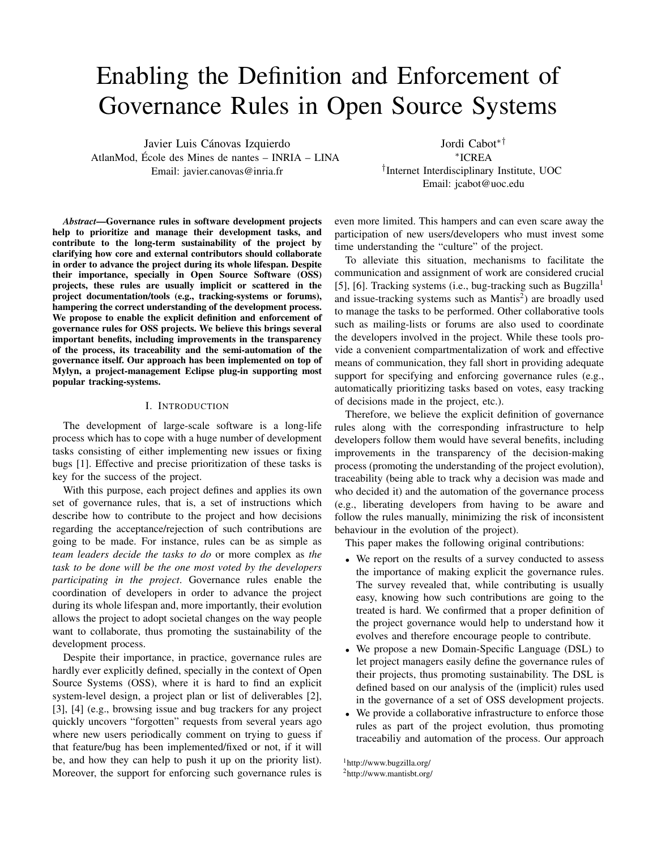# Enabling the Definition and Enforcement of Governance Rules in Open Source Systems

Javier Luis Cánovas Izquierdo AtlanMod, Ecole des Mines de nantes – INRIA – LINA ´ Email: javier.canovas@inria.fr

Jordi Cabot∗† ∗ ICREA † Internet Interdisciplinary Institute, UOC Email: jcabot@uoc.edu

*Abstract*—Governance rules in software development projects help to prioritize and manage their development tasks, and contribute to the long-term sustainability of the project by clarifying how core and external contributors should collaborate in order to advance the project during its whole lifespan. Despite their importance, specially in Open Source Software (OSS) projects, these rules are usually implicit or scattered in the project documentation/tools (e.g., tracking-systems or forums), hampering the correct understanding of the development process. We propose to enable the explicit definition and enforcement of governance rules for OSS projects. We believe this brings several important benefits, including improvements in the transparency of the process, its traceability and the semi-automation of the governance itself. Our approach has been implemented on top of Mylyn, a project-management Eclipse plug-in supporting most popular tracking-systems.

# I. INTRODUCTION

The development of large-scale software is a long-life process which has to cope with a huge number of development tasks consisting of either implementing new issues or fixing bugs [1]. Effective and precise prioritization of these tasks is key for the success of the project.

With this purpose, each project defines and applies its own set of governance rules, that is, a set of instructions which describe how to contribute to the project and how decisions regarding the acceptance/rejection of such contributions are going to be made. For instance, rules can be as simple as *team leaders decide the tasks to do* or more complex as *the task to be done will be the one most voted by the developers participating in the project*. Governance rules enable the coordination of developers in order to advance the project during its whole lifespan and, more importantly, their evolution allows the project to adopt societal changes on the way people want to collaborate, thus promoting the sustainability of the development process.

Despite their importance, in practice, governance rules are hardly ever explicitly defined, specially in the context of Open Source Systems (OSS), where it is hard to find an explicit system-level design, a project plan or list of deliverables [2], [3], [4] (e.g., browsing issue and bug trackers for any project quickly uncovers "forgotten" requests from several years ago where new users periodically comment on trying to guess if that feature/bug has been implemented/fixed or not, if it will be, and how they can help to push it up on the priority list). Moreover, the support for enforcing such governance rules is

even more limited. This hampers and can even scare away the participation of new users/developers who must invest some time understanding the "culture" of the project.

To alleviate this situation, mechanisms to facilitate the communication and assignment of work are considered crucial [5], [6]. Tracking systems (i.e., bug-tracking such as Bugzilla<sup>1</sup> and issue-tracking systems such as Mantis<sup>2</sup>) are broadly used to manage the tasks to be performed. Other collaborative tools such as mailing-lists or forums are also used to coordinate the developers involved in the project. While these tools provide a convenient compartmentalization of work and effective means of communication, they fall short in providing adequate support for specifying and enforcing governance rules (e.g., automatically prioritizing tasks based on votes, easy tracking of decisions made in the project, etc.).

Therefore, we believe the explicit definition of governance rules along with the corresponding infrastructure to help developers follow them would have several benefits, including improvements in the transparency of the decision-making process (promoting the understanding of the project evolution), traceability (being able to track why a decision was made and who decided it) and the automation of the governance process (e.g., liberating developers from having to be aware and follow the rules manually, minimizing the risk of inconsistent behaviour in the evolution of the project).

This paper makes the following original contributions:

- We report on the results of a survey conducted to assess the importance of making explicit the governance rules. The survey revealed that, while contributing is usually easy, knowing how such contributions are going to the treated is hard. We confirmed that a proper definition of the project governance would help to understand how it evolves and therefore encourage people to contribute.
- We propose a new Domain-Specific Language (DSL) to let project managers easily define the governance rules of their projects, thus promoting sustainability. The DSL is defined based on our analysis of the (implicit) rules used in the governance of a set of OSS development projects.
- We provide a collaborative infrastructure to enforce those rules as part of the project evolution, thus promoting traceabiliy and automation of the process. Our approach

<sup>1</sup>http://www.bugzilla.org/ <sup>2</sup>http://www.mantisbt.org/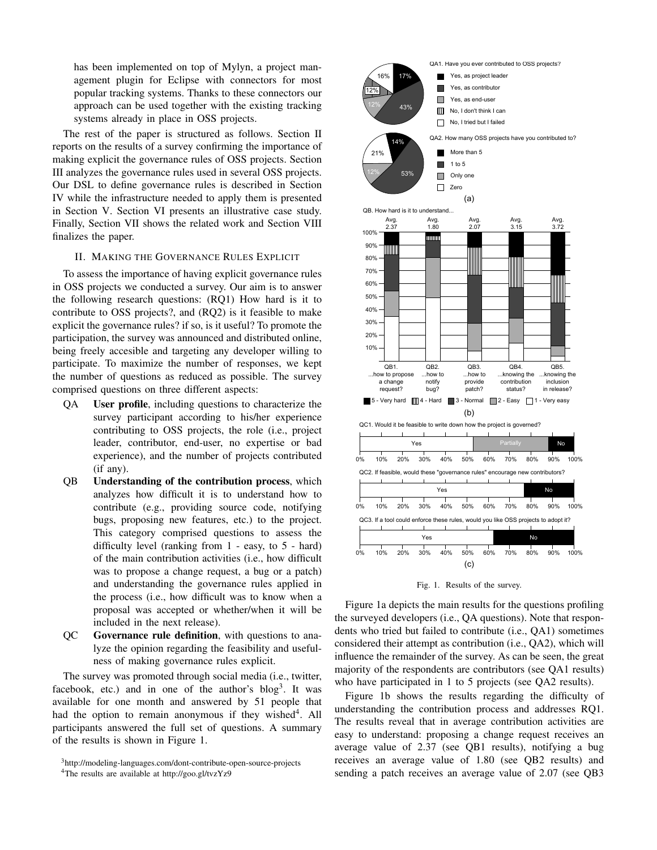has been implemented on top of Mylyn, a project management plugin for Eclipse with connectors for most popular tracking systems. Thanks to these connectors our approach can be used together with the existing tracking systems already in place in OSS projects.

The rest of the paper is structured as follows. Section II reports on the results of a survey confirming the importance of making explicit the governance rules of OSS projects. Section III analyzes the governance rules used in several OSS projects. Our DSL to define governance rules is described in Section IV while the infrastructure needed to apply them is presented in Section V. Section VI presents an illustrative case study. Finally, Section VII shows the related work and Section VIII finalizes the paper.

# II. MAKING THE GOVERNANCE RULES EXPLICIT

To assess the importance of having explicit governance rules in OSS projects we conducted a survey. Our aim is to answer the following research questions: (RQ1) How hard is it to contribute to OSS projects?, and (RQ2) is it feasible to make explicit the governance rules? if so, is it useful? To promote the participation, the survey was announced and distributed online, being freely accesible and targeting any developer willing to participate. To maximize the number of responses, we kept the number of questions as reduced as possible. The survey comprised questions on three different aspects:

- QA User profile, including questions to characterize the survey participant according to his/her experience contributing to OSS projects, the role (i.e., project leader, contributor, end-user, no expertise or bad experience), and the number of projects contributed (if any).
- QB Understanding of the contribution process, which analyzes how difficult it is to understand how to contribute (e.g., providing source code, notifying bugs, proposing new features, etc.) to the project. This category comprised questions to assess the difficulty level (ranking from 1 - easy, to 5 - hard) of the main contribution activities (i.e., how difficult was to propose a change request, a bug or a patch) and understanding the governance rules applied in the process (i.e., how difficult was to know when a proposal was accepted or whether/when it will be included in the next release).
- QC Governance rule definition, with questions to analyze the opinion regarding the feasibility and usefulness of making governance rules explicit.

The survey was promoted through social media (i.e., twitter, facebook, etc.) and in one of the author's blog<sup>3</sup>. It was available for one month and answered by 51 people that had the option to remain anonymous if they wished<sup>4</sup>. All participants answered the full set of questions. A summary of the results is shown in Figure 1.



Fig. 1. Results of the survey.

Figure 1a depicts the main results for the questions profiling the surveyed developers (i.e., QA questions). Note that respondents who tried but failed to contribute (i.e., QA1) sometimes considered their attempt as contribution (i.e., QA2), which will influence the remainder of the survey. As can be seen, the great majority of the respondents are contributors (see QA1 results) who have participated in 1 to 5 projects (see QA2 results).

Figure 1b shows the results regarding the difficulty of understanding the contribution process and addresses RQ1. The results reveal that in average contribution activities are easy to understand: proposing a change request receives an average value of 2.37 (see QB1 results), notifying a bug receives an average value of 1.80 (see QB2 results) and sending a patch receives an average value of 2.07 (see QB3

<sup>3</sup>http://modeling-languages.com/dont-contribute-open-source-projects

<sup>4</sup>The results are available at http://goo.gl/tvzYz9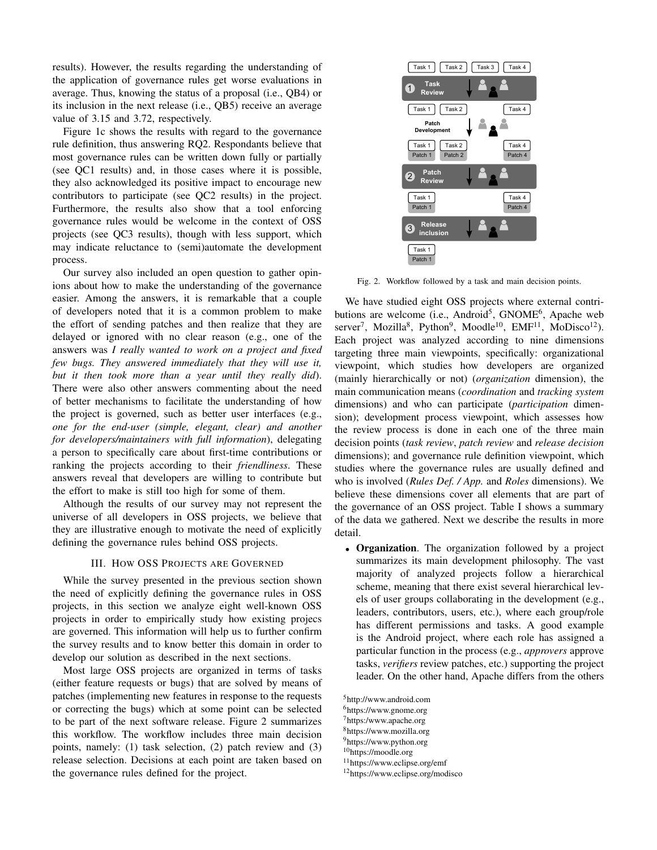results). However, the results regarding the understanding of the application of governance rules get worse evaluations in average. Thus, knowing the status of a proposal (i.e., QB4) or its inclusion in the next release (i.e., QB5) receive an average value of 3.15 and 3.72, respectively.

Figure 1c shows the results with regard to the governance rule definition, thus answering RQ2. Respondants believe that most governance rules can be written down fully or partially (see QC1 results) and, in those cases where it is possible, they also acknowledged its positive impact to encourage new contributors to participate (see QC2 results) in the project. Furthermore, the results also show that a tool enforcing governance rules would be welcome in the context of OSS projects (see QC3 results), though with less support, which may indicate reluctance to (semi)automate the development process.

Our survey also included an open question to gather opinions about how to make the understanding of the governance easier. Among the answers, it is remarkable that a couple of developers noted that it is a common problem to make the effort of sending patches and then realize that they are delayed or ignored with no clear reason (e.g., one of the answers was *I really wanted to work on a project and fixed few bugs. They answered immediately that they will use it, but it then took more than a year until they really did*). There were also other answers commenting about the need of better mechanisms to facilitate the understanding of how the project is governed, such as better user interfaces (e.g., *one for the end-user (simple, elegant, clear) and another for developers/maintainers with full information*), delegating a person to specifically care about first-time contributions or ranking the projects according to their *friendliness*. These answers reveal that developers are willing to contribute but the effort to make is still too high for some of them.

Although the results of our survey may not represent the universe of all developers in OSS projects, we believe that they are illustrative enough to motivate the need of explicitly defining the governance rules behind OSS projects.

# III. HOW OSS PROJECTS ARE GOVERNED

While the survey presented in the previous section shown the need of explicitly defining the governance rules in OSS projects, in this section we analyze eight well-known OSS projects in order to empirically study how existing projecs are governed. This information will help us to further confirm the survey results and to know better this domain in order to develop our solution as described in the next sections.

Most large OSS projects are organized in terms of tasks (either feature requests or bugs) that are solved by means of patches (implementing new features in response to the requests or correcting the bugs) which at some point can be selected to be part of the next software release. Figure 2 summarizes this workflow. The workflow includes three main decision points, namely: (1) task selection, (2) patch review and (3) release selection. Decisions at each point are taken based on the governance rules defined for the project.



Fig. 2. Workflow followed by a task and main decision points.

We have studied eight OSS projects where external contributions are welcome (i.e., Android<sup>5</sup>, GNOME<sup>6</sup>, Apache web server<sup>7</sup>, Mozilla<sup>8</sup>, Python<sup>9</sup>, Moodle<sup>10</sup>, EMF<sup>11</sup>, MoDisco<sup>12</sup>). Each project was analyzed according to nine dimensions targeting three main viewpoints, specifically: organizational viewpoint, which studies how developers are organized (mainly hierarchically or not) (*organization* dimension), the main communication means (*coordination* and *tracking system* dimensions) and who can participate (*participation* dimension); development process viewpoint, which assesses how the review process is done in each one of the three main decision points (*task review*, *patch review* and *release decision* dimensions); and governance rule definition viewpoint, which studies where the governance rules are usually defined and who is involved (*Rules Def. / App.* and *Roles* dimensions). We believe these dimensions cover all elements that are part of the governance of an OSS project. Table I shows a summary of the data we gathered. Next we describe the results in more detail.

• Organization. The organization followed by a project summarizes its main development philosophy. The vast majority of analyzed projects follow a hierarchical scheme, meaning that there exist several hierarchical levels of user groups collaborating in the development (e.g., leaders, contributors, users, etc.), where each group/role has different permissions and tasks. A good example is the Android project, where each role has assigned a particular function in the process (e.g., *approvers* approve tasks, *verifiers* review patches, etc.) supporting the project leader. On the other hand, Apache differs from the others

<sup>5</sup>http://www.android.com

<sup>12</sup>https://www.eclipse.org/modisco

<sup>6</sup>https://www.gnome.org

<sup>7</sup>https:/www.apache.org

<sup>8</sup>https://www.mozilla.org

<sup>9</sup>https://www.python.org

<sup>10</sup>https://moodle.org

<sup>11</sup>https://www.eclipse.org/emf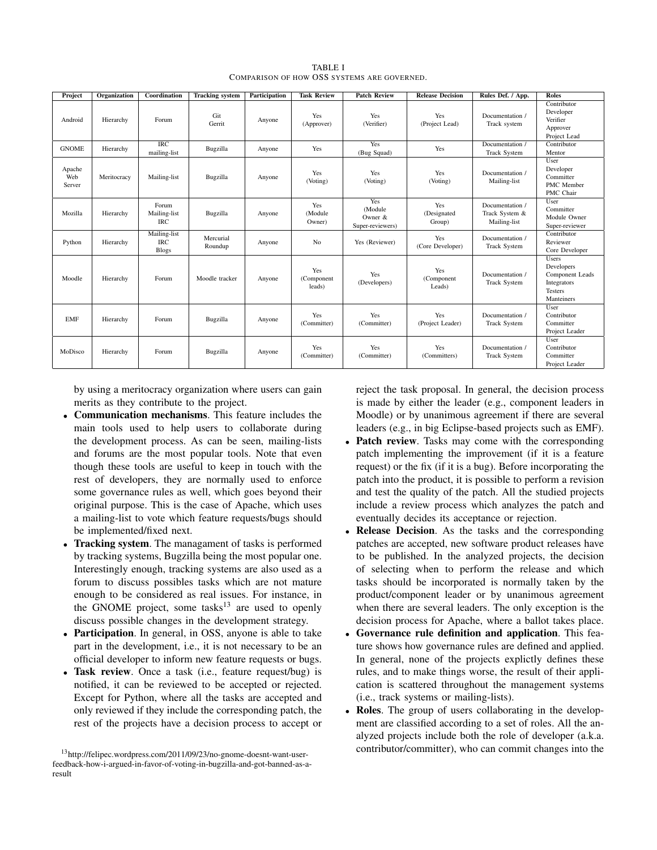TABLE I COMPARISON OF HOW OSS SYSTEMS ARE GOVERNED.

| Project                 | Organization | Coordination                               | <b>Tracking</b> system | Participation | <b>Task Review</b>          | <b>Patch Review</b>                           | <b>Release Decision</b>      | Rules Def. / App.                                 | <b>Roles</b>                                                                   |
|-------------------------|--------------|--------------------------------------------|------------------------|---------------|-----------------------------|-----------------------------------------------|------------------------------|---------------------------------------------------|--------------------------------------------------------------------------------|
| Android                 | Hierarchy    | Forum                                      | Git<br>Gerrit          | Anyone        | Yes<br>(Approver)           | Yes<br>(Verifier)                             | Yes<br>(Project Lead)        | Documentation /<br>Track system                   | Contributor<br>Developer<br>Verifier<br>Approver<br>Project Lead               |
| <b>GNOME</b>            | Hierarchy    | $\overline{\text{IRC}}$<br>mailing-list    | Bugzilla               | Anyone        | Yes                         | Yes<br>(Bug Squad)                            | Yes                          | Documentation /<br><b>Track System</b>            | Contributor<br>Mentor                                                          |
| Apache<br>Web<br>Server | Meritocracy  | Mailing-list                               | Bugzilla               | Anyone        | Yes<br>(Voting)             | Yes<br>(Voting)                               | Yes<br>(Voting)              | Documentation /<br>Mailing-list                   | User<br>Developer<br>Committer<br>PMC Member<br>PMC Chair                      |
| Mozilla                 | Hierarchy    | Forum<br>Mailing-list<br><b>IRC</b>        | Bugzilla               | Anyone        | Yes<br>(Module<br>Owner)    | Yes<br>(Module<br>Owner &<br>Super-reviewers) | Yes<br>(Designated<br>Group) | Documentation /<br>Track System &<br>Mailing-list | User<br>Committer<br>Module Owner<br>Super-reviewer                            |
| Python                  | Hierarchy    | Mailing-list<br><b>IRC</b><br><b>Blogs</b> | Mercurial<br>Roundup   | Anyone        | No                          | Yes (Reviewer)                                | Yes<br>(Core Developer)      | Documentation /<br><b>Track System</b>            | Contributor<br>Reviewer<br>Core Developer                                      |
| Moodle                  | Hierarchy    | Forum                                      | Moodle tracker         | Anyone        | Yes<br>(Component<br>leads) | Yes<br>(Developers)                           | Yes<br>(Component<br>Leads)  | Documentation /<br><b>Track System</b>            | Users<br>Developers<br>Component Leads<br>Integrators<br>Testers<br>Manteiners |
| <b>EMF</b>              | Hierarchy    | Forum                                      | Bugzilla               | Anyone        | Yes<br>(Committer)          | Yes<br>(Committer)                            | Yes<br>(Project Leader)      | Documentation /<br><b>Track System</b>            | User<br>Contributor<br>Committer<br>Project Leader                             |
| MoDisco                 | Hierarchy    | Forum                                      | Bugzilla               | Anyone        | Yes<br>(Committer)          | Yes<br>(Committer)                            | Yes<br>(Committers)          | Documentation /<br><b>Track System</b>            | User<br>Contributor<br>Committer<br>Project Leader                             |

by using a meritocracy organization where users can gain merits as they contribute to the project.

- Communication mechanisms. This feature includes the main tools used to help users to collaborate during the development process. As can be seen, mailing-lists and forums are the most popular tools. Note that even though these tools are useful to keep in touch with the rest of developers, they are normally used to enforce some governance rules as well, which goes beyond their original purpose. This is the case of Apache, which uses a mailing-list to vote which feature requests/bugs should be implemented/fixed next.
- **Tracking system.** The managament of tasks is performed by tracking systems, Bugzilla being the most popular one. Interestingly enough, tracking systems are also used as a forum to discuss possibles tasks which are not mature enough to be considered as real issues. For instance, in the GNOME project, some tasks<sup>13</sup> are used to openly discuss possible changes in the development strategy.
- Participation. In general, in OSS, anyone is able to take part in the development, i.e., it is not necessary to be an official developer to inform new feature requests or bugs.
- Task review. Once a task (i.e., feature request/bug) is notified, it can be reviewed to be accepted or rejected. Except for Python, where all the tasks are accepted and only reviewed if they include the corresponding patch, the rest of the projects have a decision process to accept or

<sup>13</sup>http://felipec.wordpress.com/2011/09/23/no-gnome-doesnt-want-userfeedback-how-i-argued-in-favor-of-voting-in-bugzilla-and-got-banned-as-aresult

reject the task proposal. In general, the decision process is made by either the leader (e.g., component leaders in Moodle) or by unanimous agreement if there are several leaders (e.g., in big Eclipse-based projects such as EMF).

- Patch review. Tasks may come with the corresponding patch implementing the improvement (if it is a feature request) or the fix (if it is a bug). Before incorporating the patch into the product, it is possible to perform a revision and test the quality of the patch. All the studied projects include a review process which analyzes the patch and eventually decides its acceptance or rejection.
- Release Decision. As the tasks and the corresponding patches are accepted, new software product releases have to be published. In the analyzed projects, the decision of selecting when to perform the release and which tasks should be incorporated is normally taken by the product/component leader or by unanimous agreement when there are several leaders. The only exception is the decision process for Apache, where a ballot takes place.
- Governance rule definition and application. This feature shows how governance rules are defined and applied. In general, none of the projects explictly defines these rules, and to make things worse, the result of their application is scattered throughout the management systems (i.e., track systems or mailing-lists).
- **Roles.** The group of users collaborating in the development are classified according to a set of roles. All the analyzed projects include both the role of developer (a.k.a. contributor/committer), who can commit changes into the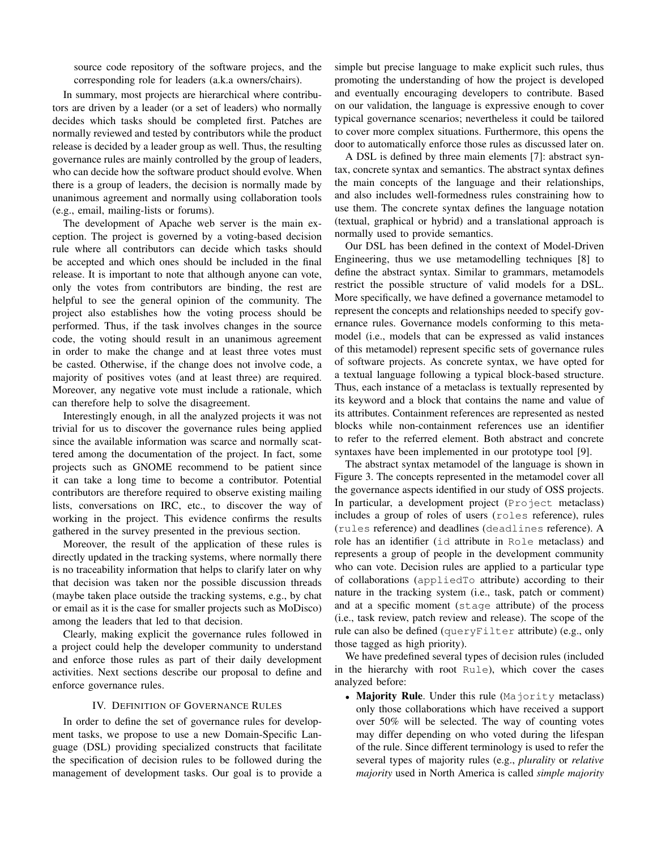source code repository of the software projecs, and the corresponding role for leaders (a.k.a owners/chairs).

In summary, most projects are hierarchical where contributors are driven by a leader (or a set of leaders) who normally decides which tasks should be completed first. Patches are normally reviewed and tested by contributors while the product release is decided by a leader group as well. Thus, the resulting governance rules are mainly controlled by the group of leaders, who can decide how the software product should evolve. When there is a group of leaders, the decision is normally made by unanimous agreement and normally using collaboration tools (e.g., email, mailing-lists or forums).

The development of Apache web server is the main exception. The project is governed by a voting-based decision rule where all contributors can decide which tasks should be accepted and which ones should be included in the final release. It is important to note that although anyone can vote, only the votes from contributors are binding, the rest are helpful to see the general opinion of the community. The project also establishes how the voting process should be performed. Thus, if the task involves changes in the source code, the voting should result in an unanimous agreement in order to make the change and at least three votes must be casted. Otherwise, if the change does not involve code, a majority of positives votes (and at least three) are required. Moreover, any negative vote must include a rationale, which can therefore help to solve the disagreement.

Interestingly enough, in all the analyzed projects it was not trivial for us to discover the governance rules being applied since the available information was scarce and normally scattered among the documentation of the project. In fact, some projects such as GNOME recommend to be patient since it can take a long time to become a contributor. Potential contributors are therefore required to observe existing mailing lists, conversations on IRC, etc., to discover the way of working in the project. This evidence confirms the results gathered in the survey presented in the previous section.

Moreover, the result of the application of these rules is directly updated in the tracking systems, where normally there is no traceability information that helps to clarify later on why that decision was taken nor the possible discussion threads (maybe taken place outside the tracking systems, e.g., by chat or email as it is the case for smaller projects such as MoDisco) among the leaders that led to that decision.

Clearly, making explicit the governance rules followed in a project could help the developer community to understand and enforce those rules as part of their daily development activities. Next sections describe our proposal to define and enforce governance rules.

## IV. DEFINITION OF GOVERNANCE RULES

In order to define the set of governance rules for development tasks, we propose to use a new Domain-Specific Language (DSL) providing specialized constructs that facilitate the specification of decision rules to be followed during the management of development tasks. Our goal is to provide a simple but precise language to make explicit such rules, thus promoting the understanding of how the project is developed and eventually encouraging developers to contribute. Based on our validation, the language is expressive enough to cover typical governance scenarios; nevertheless it could be tailored to cover more complex situations. Furthermore, this opens the door to automatically enforce those rules as discussed later on.

A DSL is defined by three main elements [7]: abstract syntax, concrete syntax and semantics. The abstract syntax defines the main concepts of the language and their relationships, and also includes well-formedness rules constraining how to use them. The concrete syntax defines the language notation (textual, graphical or hybrid) and a translational approach is normally used to provide semantics.

Our DSL has been defined in the context of Model-Driven Engineering, thus we use metamodelling techniques [8] to define the abstract syntax. Similar to grammars, metamodels restrict the possible structure of valid models for a DSL. More specifically, we have defined a governance metamodel to represent the concepts and relationships needed to specify governance rules. Governance models conforming to this metamodel (i.e., models that can be expressed as valid instances of this metamodel) represent specific sets of governance rules of software projects. As concrete syntax, we have opted for a textual language following a typical block-based structure. Thus, each instance of a metaclass is textually represented by its keyword and a block that contains the name and value of its attributes. Containment references are represented as nested blocks while non-containment references use an identifier to refer to the referred element. Both abstract and concrete syntaxes have been implemented in our prototype tool [9].

The abstract syntax metamodel of the language is shown in Figure 3. The concepts represented in the metamodel cover all the governance aspects identified in our study of OSS projects. In particular, a development project (Project metaclass) includes a group of roles of users (roles reference), rules (rules reference) and deadlines (deadlines reference). A role has an identifier (id attribute in Role metaclass) and represents a group of people in the development community who can vote. Decision rules are applied to a particular type of collaborations (appliedTo attribute) according to their nature in the tracking system (i.e., task, patch or comment) and at a specific moment (stage attribute) of the process (i.e., task review, patch review and release). The scope of the rule can also be defined (queryFilter attribute) (e.g., only those tagged as high priority).

We have predefined several types of decision rules (included in the hierarchy with root Rule), which cover the cases analyzed before:

• Majority Rule. Under this rule (Majority metaclass) only those collaborations which have received a support over 50% will be selected. The way of counting votes may differ depending on who voted during the lifespan of the rule. Since different terminology is used to refer the several types of majority rules (e.g., *plurality* or *relative majority* used in North America is called *simple majority*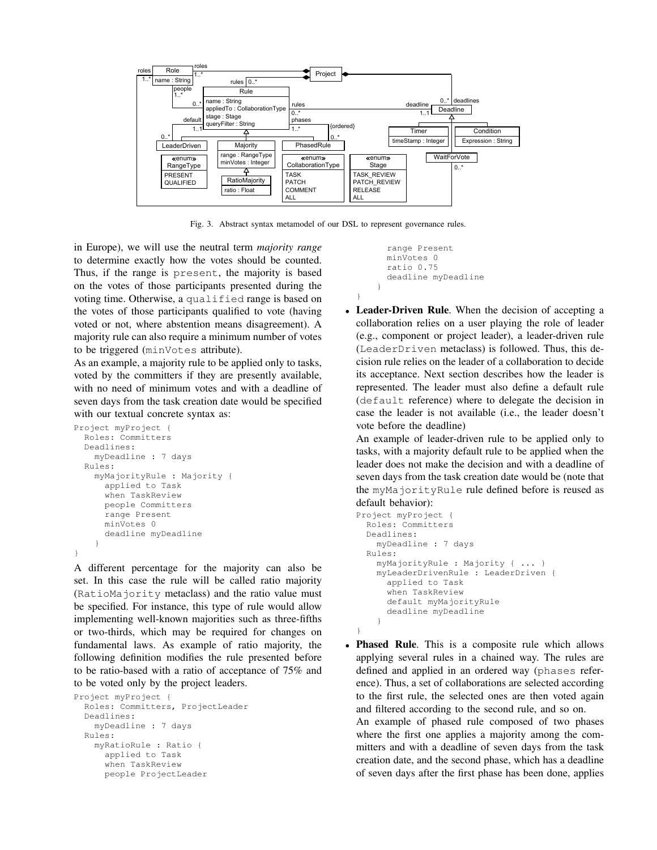

Fig. 3. Abstract syntax metamodel of our DSL to represent governance rules.

}

in Europe), we will use the neutral term *majority range* to determine exactly how the votes should be counted. Thus, if the range is present, the majority is based on the votes of those participants presented during the voting time. Otherwise, a qualified range is based on the votes of those participants qualified to vote (having voted or not, where abstention means disagreement). A majority rule can also require a minimum number of votes to be triggered (minVotes attribute).

As an example, a majority rule to be applied only to tasks, voted by the committers if they are presently available, with no need of minimum votes and with a deadline of seven days from the task creation date would be specified with our textual concrete syntax as:

```
Project myProject {
  Roles: Committers
 Deadlines:
    myDeadline : 7 days
 Rules:
    myMajorityRule : Majority {
      applied to Task
      when TaskReview
      people Committers
      range Present
      minVotes 0
      deadline myDeadline
    }
}
```
A different percentage for the majority can also be set. In this case the rule will be called ratio majority (RatioMajority metaclass) and the ratio value must be specified. For instance, this type of rule would allow implementing well-known majorities such as three-fifths or two-thirds, which may be required for changes on fundamental laws. As example of ratio majority, the following definition modifies the rule presented before to be ratio-based with a ratio of acceptance of 75% and to be voted only by the project leaders.

```
Project myProject {
  Roles: Committers, ProjectLeader
  Deadlines:
    myDeadline : 7 days
  Rules:
    myRatioRule : Ratio {
      applied to Task
      when TaskReview
      people ProjectLeader
```

```
range Present
 minVotes 0
 ratio 0.75
 deadline myDeadline
}
```
• Leader-Driven Rule. When the decision of accepting a collaboration relies on a user playing the role of leader (e.g., component or project leader), a leader-driven rule (LeaderDriven metaclass) is followed. Thus, this decision rule relies on the leader of a collaboration to decide its acceptance. Next section describes how the leader is represented. The leader must also define a default rule (default reference) where to delegate the decision in case the leader is not available (i.e., the leader doesn't vote before the deadline)

An example of leader-driven rule to be applied only to tasks, with a majority default rule to be applied when the leader does not make the decision and with a deadline of seven days from the task creation date would be (note that the myMajorityRule rule defined before is reused as default behavior):

```
Project myProject {
  Roles: Committers
  Deadlines:
    myDeadline : 7 days
  Rules:
    myMajorityRule : Majority { ... }
    myLeaderDrivenRule : LeaderDriven {
      applied to Task
      when TaskReview
      default myMajorityRule
      deadline myDeadline
    }
}
```
• Phased Rule. This is a composite rule which allows applying several rules in a chained way. The rules are defined and applied in an ordered way (phases reference). Thus, a set of collaborations are selected according to the first rule, the selected ones are then voted again and filtered according to the second rule, and so on. An example of phased rule composed of two phases where the first one applies a majority among the committers and with a deadline of seven days from the task creation date, and the second phase, which has a deadline of seven days after the first phase has been done, applies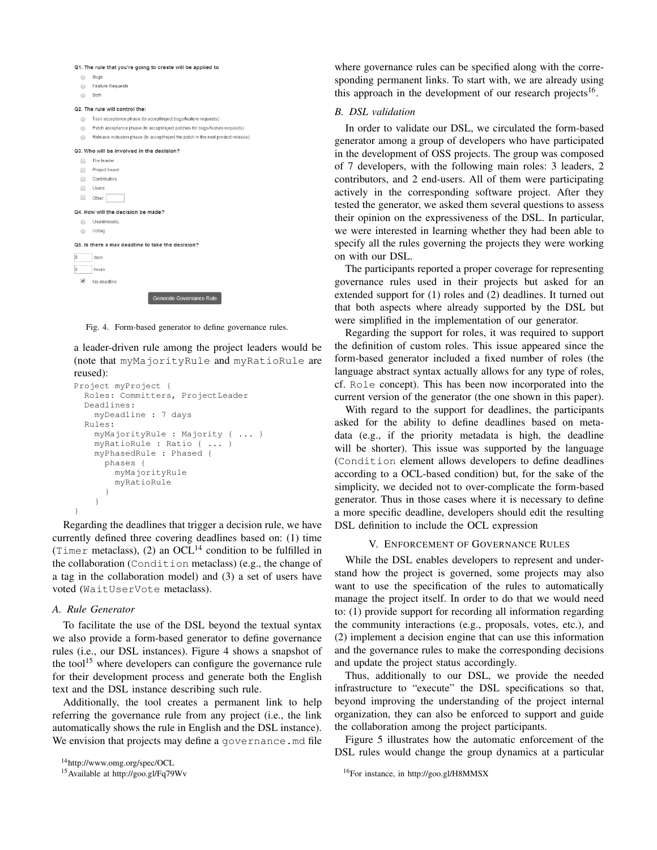Q1. The rule that you're going to create will be applied to

- Bugs
- Feature Requests □ Both

## Q2. The rule will control the:

Task acceptance phase (to accept/reject bugs/feature requests)

- Patch acceptance phase (to accept/reject patches for bugs/feature requests)
- Release inclusion phase (to accept/reject the patch in the next product release)

#### Q3. Who will be involved in the decision?

|                                                   | The leader               |  |  |  |  |  |
|---------------------------------------------------|--------------------------|--|--|--|--|--|
| ∩                                                 | Project board            |  |  |  |  |  |
| ∩                                                 | Contributors             |  |  |  |  |  |
| ∩                                                 | Users                    |  |  |  |  |  |
| □                                                 | Other:                   |  |  |  |  |  |
| Q4. How will the decision be made?                |                          |  |  |  |  |  |
| ≘                                                 | Unanimously              |  |  |  |  |  |
| ⋒                                                 | Voting                   |  |  |  |  |  |
| Q5. Is there a max deadline to take the decision? |                          |  |  |  |  |  |
| 0                                                 | days                     |  |  |  |  |  |
| 0                                                 | hours                    |  |  |  |  |  |
| $\blacktriangledown$                              | No deadline              |  |  |  |  |  |
|                                                   | Generate Governance Rule |  |  |  |  |  |
|                                                   |                          |  |  |  |  |  |

Fig. 4. Form-based generator to define governance rules.

a leader-driven rule among the project leaders would be (note that myMajorityRule and myRatioRule are reused):

```
Project myProject {
  Roles: Committers, ProjectLeader
  Deadlines:
    myDeadline : 7 days
  Rules:
    myMajorityRule : Majority { ... }
    myRatioRule : Ratio { ... }
    myPhasedRule : Phased {
      phases {
        myMajorityRule
        myRatioRule
      }
    }
}
```
Regarding the deadlines that trigger a decision rule, we have currently defined three covering deadlines based on: (1) time (Timer metaclass), (2) an OCL<sup>14</sup> condition to be fulfilled in the collaboration (Condition metaclass) (e.g., the change of a tag in the collaboration model) and (3) a set of users have voted (WaitUserVote metaclass).

# *A. Rule Generator*

To facilitate the use of the DSL beyond the textual syntax we also provide a form-based generator to define governance rules (i.e., our DSL instances). Figure 4 shows a snapshot of the tool<sup>15</sup> where developers can configure the governance rule for their development process and generate both the English text and the DSL instance describing such rule.

Additionally, the tool creates a permanent link to help referring the governance rule from any project (i.e., the link automatically shows the rule in English and the DSL instance). We envision that projects may define a governance.md file

where governance rules can be specified along with the corresponding permanent links. To start with, we are already using this approach in the development of our research projects<sup>16</sup>.

# *B. DSL validation*

In order to validate our DSL, we circulated the form-based generator among a group of developers who have participated in the development of OSS projects. The group was composed of 7 developers, with the following main roles: 3 leaders, 2 contributors, and 2 end-users. All of them were participating actively in the corresponding software project. After they tested the generator, we asked them several questions to assess their opinion on the expressiveness of the DSL. In particular, we were interested in learning whether they had been able to specify all the rules governing the projects they were working on with our DSL.

The participants reported a proper coverage for representing governance rules used in their projects but asked for an extended support for (1) roles and (2) deadlines. It turned out that both aspects where already supported by the DSL but were simplified in the implementation of our generator.

Regarding the support for roles, it was required to support the definition of custom roles. This issue appeared since the form-based generator included a fixed number of roles (the language abstract syntax actually allows for any type of roles, cf. Role concept). This has been now incorporated into the current version of the generator (the one shown in this paper).

With regard to the support for deadlines, the participants asked for the ability to define deadlines based on metadata (e.g., if the priority metadata is high, the deadline will be shorter). This issue was supported by the language (Condition element allows developers to define deadlines according to a OCL-based condition) but, for the sake of the simplicity, we decided not to over-complicate the form-based generator. Thus in those cases where it is necessary to define a more specific deadline, developers should edit the resulting DSL definition to include the OCL expression

# V. ENFORCEMENT OF GOVERNANCE RULES

While the DSL enables developers to represent and understand how the project is governed, some projects may also want to use the specification of the rules to automatically manage the project itself. In order to do that we would need to: (1) provide support for recording all information regarding the community interactions (e.g., proposals, votes, etc.), and (2) implement a decision engine that can use this information and the governance rules to make the corresponding decisions and update the project status accordingly.

Thus, additionally to our DSL, we provide the needed infrastructure to "execute" the DSL specifications so that, beyond improving the understanding of the project internal organization, they can also be enforced to support and guide the collaboration among the project participants.

Figure 5 illustrates how the automatic enforcement of the DSL rules would change the group dynamics at a particular

<sup>14</sup>http://www.omg.org/spec/OCL

<sup>15</sup>Available at http://goo.gl/Fq79Wv

<sup>16</sup>For instance, in http://goo.gl/H8MMSX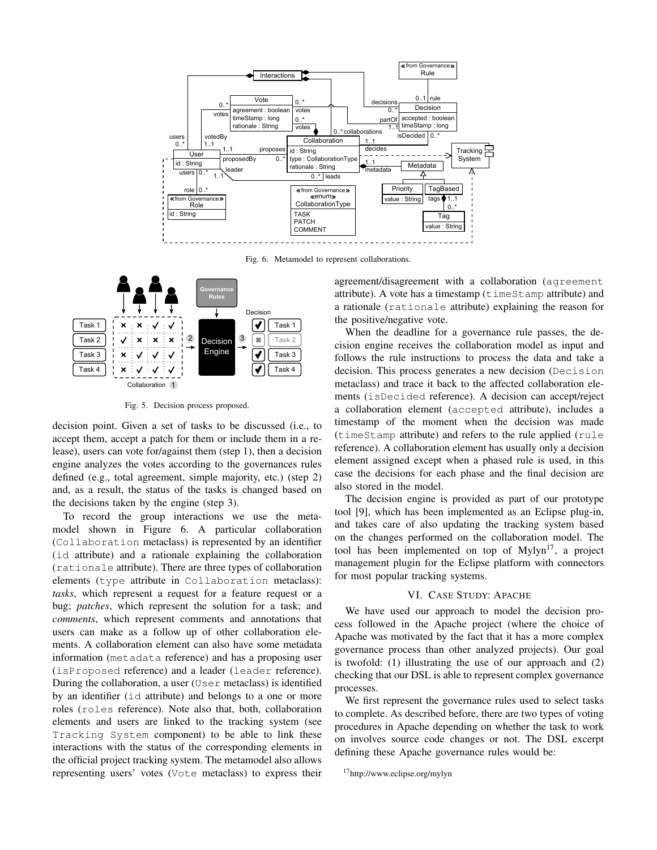

Fig. 6. Metamodel to represent collaborations.



Fig. 5. Decision process proposed.

decision point. Given a set of tasks to be discussed (i.e., to accept them, accept a patch for them or include them in a release), users can vote for/against them (step 1), then a decision engine analyzes the votes according to the governances rules defined (e.g., total agreement, simple majority, etc.) (step 2) and, as a result, the status of the tasks is changed based on the decisions taken by the engine (step 3).

To record the group interactions we use the metamodel shown in Figure 6. A particular collaboration (Collaboration metaclass) is represented by an identifier (id attribute) and a rationale explaining the collaboration (rationale attribute). There are three types of collaboration elements (type attribute in Collaboration metaclass): *tasks*, which represent a request for a feature request or a bug; *patches*, which represent the solution for a task; and *comments*, which represent comments and annotations that users can make as a follow up of other collaboration elements. A collaboration element can also have some metadata information (metadata reference) and has a proposing user (isProposed reference) and a leader (leader reference). During the collaboration, a user (User metaclass) is identified by an identifier (id attribute) and belongs to a one or more roles (roles reference). Note also that, both, collaboration elements and users are linked to the tracking system (see Tracking System component) to be able to link these interactions with the status of the corresponding elements in the official project tracking system. The metamodel also allows representing users' votes (Vote metaclass) to express their

agreement/disagreement with a collaboration (agreement attribute). A vote has a timestamp  $(t \text{imes} t)$  and a rationale (rationale attribute) explaining the reason for the positive/negative vote.

When the deadline for a governance rule passes, the decision engine receives the collaboration model as input and follows the rule instructions to process the data and take a decision. This process generates a new decision (Decision metaclass) and trace it back to the affected collaboration elements (isDecided reference). A decision can accept/reject a collaboration element (accepted attribute), includes a timestamp of the moment when the decision was made (timeStamp attribute) and refers to the rule applied (rule reference). A collaboration element has usually only a decision element assigned except when a phased rule is used, in this case the decisions for each phase and the final decision are also stored in the model.

The decision engine is provided as part of our prototype tool [9], which has been implemented as an Eclipse plug-in, and takes care of also updating the tracking system based on the changes performed on the collaboration model. The tool has been implemented on top of  $Mylyn<sup>17</sup>$ , a project management plugin for the Eclipse platform with connectors for most popular tracking systems.

# VI. CASE STUDY: APACHE

We have used our approach to model the decision process followed in the Apache project (where the choice of Apache was motivated by the fact that it has a more complex governance process than other analyzed projects). Our goal is twofold: (1) illustrating the use of our approach and (2) checking that our DSL is able to represent complex governance processes.

We first represent the governance rules used to select tasks to complete. As described before, there are two types of voting procedures in Apache depending on whether the task to work on involves source code changes or not. The DSL excerpt defining these Apache governance rules would be:

<sup>17</sup>http://www.eclipse.org/mylyn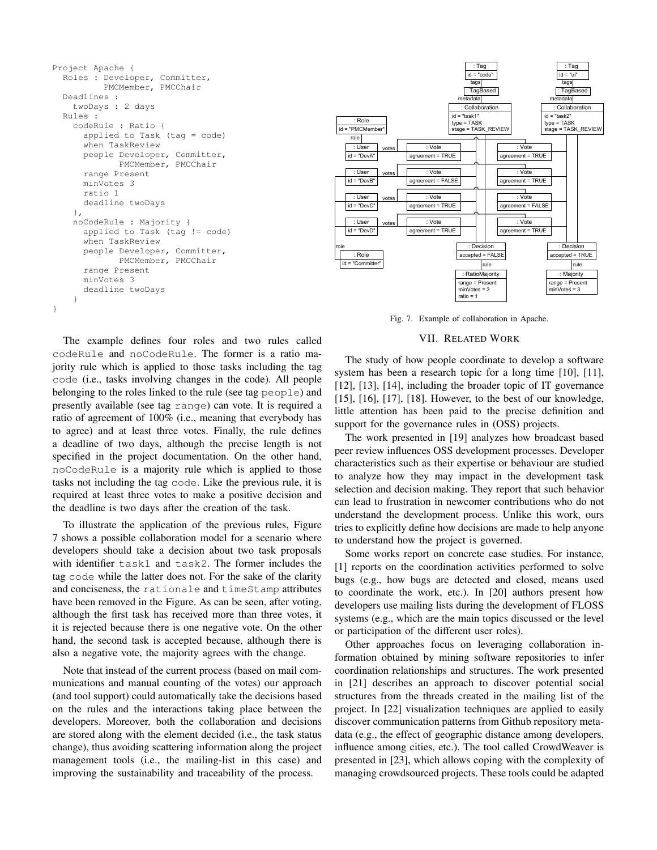```
Project Apache {
  Roles : Developer, Committer,
          PMCMember, PMCChair
  Deadlines :
    twoDays : 2 days
  Rules :
    codeRule : Ratio {
      applied to Task (tag = code)
      when TaskReview
      people Developer, Committer,
             PMCMember, PMCChair
      range Present
      minVotes 3
      ratio 1
      deadline twoDays
    },
    noCodeRule : Majority {
      applied to Task (tag != code)
      when TaskReview
      people Developer, Committer,
             PMCMember, PMCChair
      range Present
      minVotes 3
      deadline twoDays
    }
}
```


Fig. 7. Example of collaboration in Apache.

#### VII. RELATED WORK

The example defines four roles and two rules called codeRule and noCodeRule. The former is a ratio majority rule which is applied to those tasks including the tag code (i.e., tasks involving changes in the code). All people belonging to the roles linked to the rule (see tag people) and presently available (see tag range) can vote. It is required a ratio of agreement of 100% (i.e., meaning that everybody has to agree) and at least three votes. Finally, the rule defines a deadline of two days, although the precise length is not specified in the project documentation. On the other hand, noCodeRule is a majority rule which is applied to those tasks not including the tag code. Like the previous rule, it is required at least three votes to make a positive decision and the deadline is two days after the creation of the task.

To illustrate the application of the previous rules, Figure 7 shows a possible collaboration model for a scenario where developers should take a decision about two task proposals with identifier task1 and task2. The former includes the tag code while the latter does not. For the sake of the clarity and conciseness, the rationale and timeStamp attributes have been removed in the Figure. As can be seen, after voting, although the first task has received more than three votes, it it is rejected because there is one negative vote. On the other hand, the second task is accepted because, although there is also a negative vote, the majority agrees with the change.

Note that instead of the current process (based on mail communications and manual counting of the votes) our approach (and tool support) could automatically take the decisions based on the rules and the interactions taking place between the developers. Moreover, both the collaboration and decisions are stored along with the element decided (i.e., the task status change), thus avoiding scattering information along the project management tools (i.e., the mailing-list in this case) and improving the sustainability and traceability of the process.

The study of how people coordinate to develop a software system has been a research topic for a long time [10], [11], [12], [13], [14], including the broader topic of IT governance [15], [16], [17], [18]. However, to the best of our knowledge, little attention has been paid to the precise definition and support for the governance rules in (OSS) projects.

The work presented in [19] analyzes how broadcast based peer review influences OSS development processes. Developer characteristics such as their expertise or behaviour are studied to analyze how they may impact in the development task selection and decision making. They report that such behavior can lead to frustration in newcomer contributions who do not understand the development process. Unlike this work, ours tries to explicitly define how decisions are made to help anyone to understand how the project is governed.

Some works report on concrete case studies. For instance, [1] reports on the coordination activities performed to solve bugs (e.g., how bugs are detected and closed, means used to coordinate the work, etc.). In [20] authors present how developers use mailing lists during the development of FLOSS systems (e.g., which are the main topics discussed or the level or participation of the different user roles).

Other approaches focus on leveraging collaboration information obtained by mining software repositories to infer coordination relationships and structures. The work presented in [21] describes an approach to discover potential social structures from the threads created in the mailing list of the project. In [22] visualization techniques are applied to easily discover communication patterns from Github repository metadata (e.g., the effect of geographic distance among developers, influence among cities, etc.). The tool called CrowdWeaver is presented in [23], which allows coping with the complexity of managing crowdsourced projects. These tools could be adapted